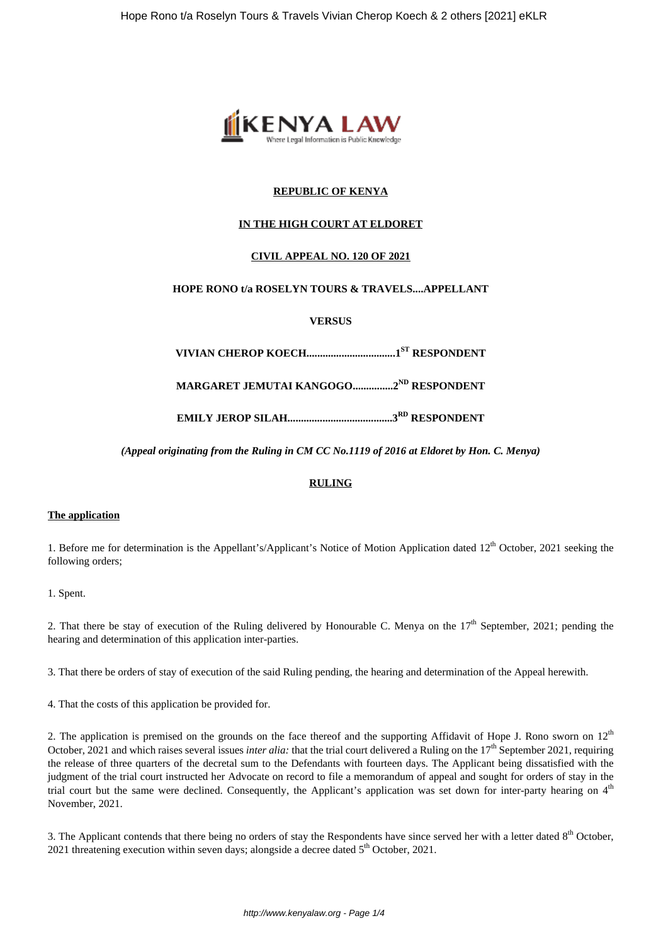

# **REPUBLIC OF KENYA**

# **IN THE HIGH COURT AT ELDORET**

# **CIVIL APPEAL NO. 120 OF 2021**

# **HOPE RONO t/a ROSELYN TOURS & TRAVELS....APPELLANT**

**VERSUS**

**VIVIAN CHEROP KOECH.................................1ST RESPONDENT**

**MARGARET JEMUTAI KANGOGO...............2ND RESPONDENT**

**EMILY JEROP SILAH.......................................3RD RESPONDENT**

*(Appeal originating from the Ruling in CM CC No.1119 of 2016 at Eldoret by Hon. C. Menya)*

## **RULING**

### **The application**

1. Before me for determination is the Appellant's/Applicant's Notice of Motion Application dated 12<sup>th</sup> October, 2021 seeking the following orders;

1. Spent.

2. That there be stay of execution of the Ruling delivered by Honourable C. Menya on the  $17<sup>th</sup>$  September, 2021; pending the hearing and determination of this application inter-parties.

3. That there be orders of stay of execution of the said Ruling pending, the hearing and determination of the Appeal herewith.

4. That the costs of this application be provided for.

2. The application is premised on the grounds on the face thereof and the supporting Affidavit of Hope J. Rono sworn on  $12<sup>th</sup>$ October, 2021 and which raises several issues *inter alia*: that the trial court delivered a Ruling on the 17<sup>th</sup> September 2021, requiring the release of three quarters of the decretal sum to the Defendants with fourteen days. The Applicant being dissatisfied with the judgment of the trial court instructed her Advocate on record to file a memorandum of appeal and sought for orders of stay in the trial court but the same were declined. Consequently, the Applicant's application was set down for inter-party hearing on  $4<sup>th</sup>$ November, 2021.

3. The Applicant contends that there being no orders of stay the Respondents have since served her with a letter dated 8<sup>th</sup> October, 2021 threatening execution within seven days; alongside a decree dated 5<sup>th</sup> October, 2021.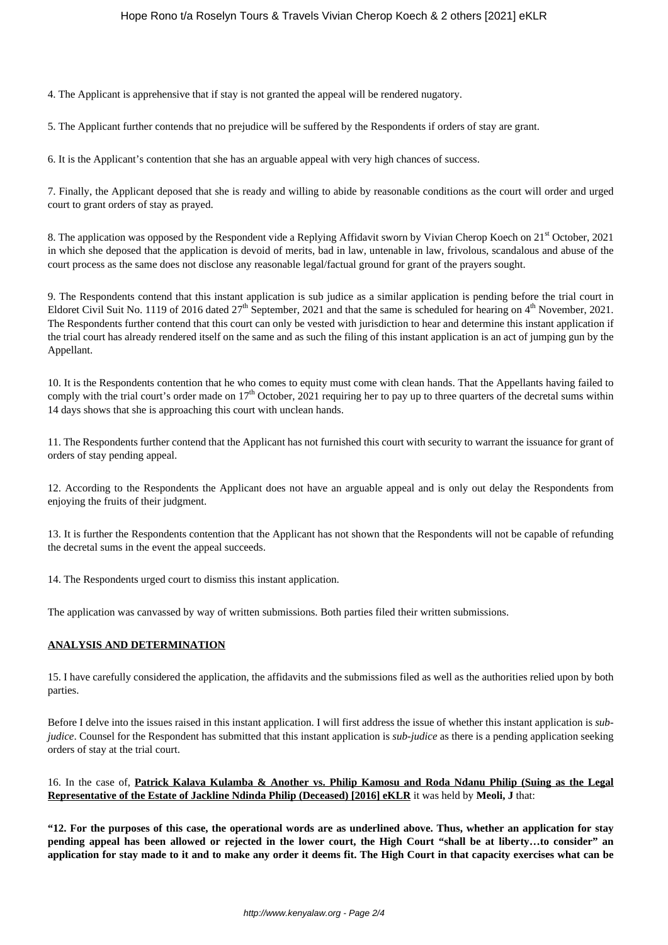4. The Applicant is apprehensive that if stay is not granted the appeal will be rendered nugatory.

5. The Applicant further contends that no prejudice will be suffered by the Respondents if orders of stay are grant.

6. It is the Applicant's contention that she has an arguable appeal with very high chances of success.

7. Finally, the Applicant deposed that she is ready and willing to abide by reasonable conditions as the court will order and urged court to grant orders of stay as prayed.

8. The application was opposed by the Respondent vide a Replying Affidavit sworn by Vivian Cherop Koech on 21<sup>st</sup> October, 2021 in which she deposed that the application is devoid of merits, bad in law, untenable in law, frivolous, scandalous and abuse of the court process as the same does not disclose any reasonable legal/factual ground for grant of the prayers sought.

9. The Respondents contend that this instant application is sub judice as a similar application is pending before the trial court in Eldoret Civil Suit No. 1119 of 2016 dated  $27<sup>th</sup>$  September, 2021 and that the same is scheduled for hearing on  $4<sup>th</sup>$  November, 2021. The Respondents further contend that this court can only be vested with jurisdiction to hear and determine this instant application if the trial court has already rendered itself on the same and as such the filing of this instant application is an act of jumping gun by the Appellant.

10. It is the Respondents contention that he who comes to equity must come with clean hands. That the Appellants having failed to comply with the trial court's order made on  $17<sup>th</sup>$  October, 2021 requiring her to pay up to three quarters of the decretal sums within 14 days shows that she is approaching this court with unclean hands.

11. The Respondents further contend that the Applicant has not furnished this court with security to warrant the issuance for grant of orders of stay pending appeal.

12. According to the Respondents the Applicant does not have an arguable appeal and is only out delay the Respondents from enjoying the fruits of their judgment.

13. It is further the Respondents contention that the Applicant has not shown that the Respondents will not be capable of refunding the decretal sums in the event the appeal succeeds.

14. The Respondents urged court to dismiss this instant application.

The application was canvassed by way of written submissions. Both parties filed their written submissions.

# **ANALYSIS AND DETERMINATION**

15. I have carefully considered the application, the affidavits and the submissions filed as well as the authorities relied upon by both parties.

Before I delve into the issues raised in this instant application. I will first address the issue of whether this instant application is *subjudice*. Counsel for the Respondent has submitted that this instant application is *sub-judice* as there is a pending application seeking orders of stay at the trial court.

16. In the case of, **Patrick Kalava Kulamba & Another vs. Philip Kamosu and Roda Ndanu Philip (Suing as the Legal Representative of the Estate of Jackline Ndinda Philip (Deceased) [2016] eKLR** it was held by **Meoli, J** that:

**"12. For the purposes of this case, the operational words are as underlined above. Thus, whether an application for stay pending appeal has been allowed or rejected in the lower court, the High Court "shall be at liberty…to consider" an application for stay made to it and to make any order it deems fit. The High Court in that capacity exercises what can be**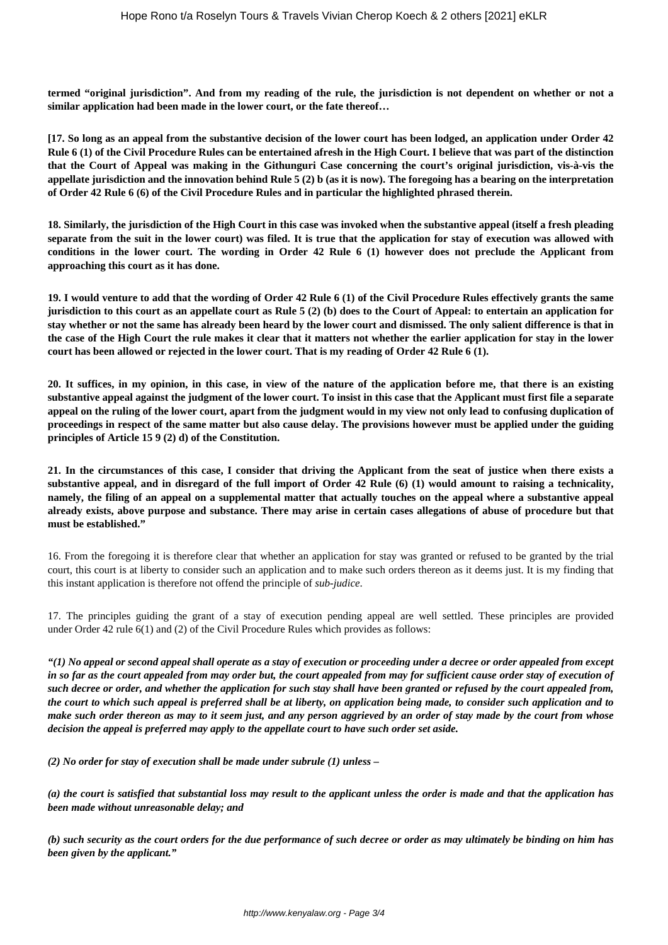**termed "original jurisdiction". And from my reading of the rule, the jurisdiction is not dependent on whether or not a similar application had been made in the lower court, or the fate thereof…**

**[17. So long as an appeal from the substantive decision of the lower court has been lodged, an application under Order 42 Rule 6 (1) of the Civil Procedure Rules can be entertained afresh in the High Court. I believe that was part of the distinction that the Court of Appeal was making in the Githunguri Case concerning the court's original jurisdiction, vis-à-vis the appellate jurisdiction and the innovation behind Rule 5 (2) b (as it is now). The foregoing has a bearing on the interpretation of Order 42 Rule 6 (6) of the Civil Procedure Rules and in particular the highlighted phrased therein.**

**18. Similarly, the jurisdiction of the High Court in this case was invoked when the substantive appeal (itself a fresh pleading separate from the suit in the lower court) was filed. It is true that the application for stay of execution was allowed with conditions in the lower court. The wording in Order 42 Rule 6 (1) however does not preclude the Applicant from approaching this court as it has done.**

**19. I would venture to add that the wording of Order 42 Rule 6 (1) of the Civil Procedure Rules effectively grants the same jurisdiction to this court as an appellate court as Rule 5 (2) (b) does to the Court of Appeal: to entertain an application for stay whether or not the same has already been heard by the lower court and dismissed. The only salient difference is that in the case of the High Court the rule makes it clear that it matters not whether the earlier application for stay in the lower court has been allowed or rejected in the lower court. That is my reading of Order 42 Rule 6 (1).**

**20. It suffices, in my opinion, in this case, in view of the nature of the application before me, that there is an existing substantive appeal against the judgment of the lower court. To insist in this case that the Applicant must first file a separate appeal on the ruling of the lower court, apart from the judgment would in my view not only lead to confusing duplication of proceedings in respect of the same matter but also cause delay. The provisions however must be applied under the guiding principles of Article 15 9 (2) d) of the Constitution.**

**21. In the circumstances of this case, I consider that driving the Applicant from the seat of justice when there exists a substantive appeal, and in disregard of the full import of Order 42 Rule (6) (1) would amount to raising a technicality, namely, the filing of an appeal on a supplemental matter that actually touches on the appeal where a substantive appeal already exists, above purpose and substance. There may arise in certain cases allegations of abuse of procedure but that must be established."**

16. From the foregoing it is therefore clear that whether an application for stay was granted or refused to be granted by the trial court, this court is at liberty to consider such an application and to make such orders thereon as it deems just. It is my finding that this instant application is therefore not offend the principle of *sub-judice*.

17. The principles guiding the grant of a stay of execution pending appeal are well settled. These principles are provided under Order 42 rule 6(1) and (2) of the Civil Procedure Rules which provides as follows:

*"(1) No appeal or second appeal shall operate as a stay of execution or proceeding under a decree or order appealed from except in so far as the court appealed from may order but, the court appealed from may for sufficient cause order stay of execution of such decree or order, and whether the application for such stay shall have been granted or refused by the court appealed from, the court to which such appeal is preferred shall be at liberty, on application being made, to consider such application and to make such order thereon as may to it seem just, and any person aggrieved by an order of stay made by the court from whose decision the appeal is preferred may apply to the appellate court to have such order set aside.*

*(2) No order for stay of execution shall be made under subrule (1) unless –*

*(a) the court is satisfied that substantial loss may result to the applicant unless the order is made and that the application has been made without unreasonable delay; and*

*(b) such security as the court orders for the due performance of such decree or order as may ultimately be binding on him has been given by the applicant."*